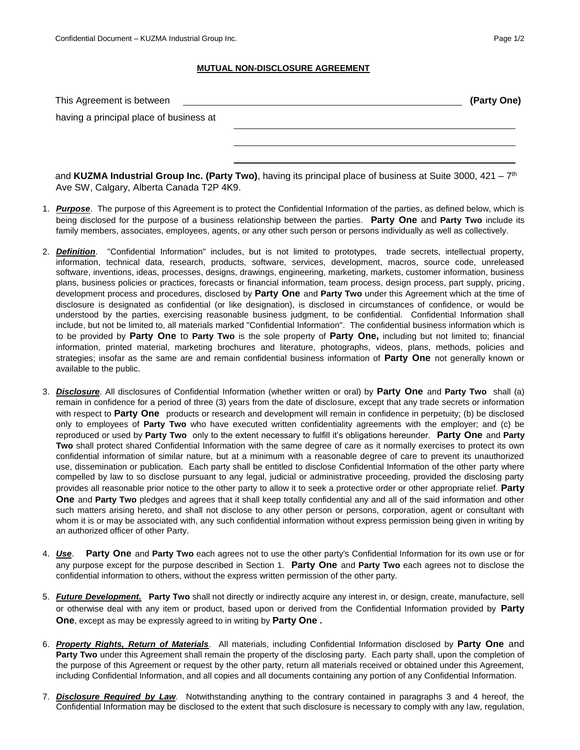## **MUTUAL NON-DISCLOSURE AGREEMENT**

| This Agreement is between               | (Party One) |
|-----------------------------------------|-------------|
| having a principal place of business at |             |
|                                         |             |
|                                         |             |
|                                         |             |

and **KUZMA Industrial Group Inc. (Party Two)**, having its principal place of business at Suite 3000, 421 – 7 th Ave SW, Calgary, Alberta Canada T2P 4K9.

- 1. *Purpose*. The purpose of this Agreement is to protect the Confidential Information of the parties, as defined below, which is being disclosed for the purpose of a business relationship between the parties. **Party One** and **Party Two** include its family members, associates, employees, agents, or any other such person or persons individually as well as collectively.
- 2. *Definition*. "Confidential Information" includes, but is not limited to prototypes, trade secrets, intellectual property, information, technical data, research, products, software, services, development, macros, source code, unreleased software, inventions, ideas, processes, designs, drawings, engineering, marketing, markets, customer information, business plans, business policies or practices, forecasts or financial information, team process, design process, part supply, pricing, development process and procedures, disclosed by **Party One** and **Party Two** under this Agreement which at the time of disclosure is designated as confidential (or like designation), is disclosed in circumstances of confidence, or would be understood by the parties, exercising reasonable business judgment, to be confidential. Confidential Information shall include, but not be limited to, all materials marked "Confidential Information". The confidential business information which is to be provided by **Party One** to **Party Two** is the sole property of **Party One,** including but not limited to; financial information, printed material, marketing brochures and literature, photographs, videos, plans, methods, policies and strategies; insofar as the same are and remain confidential business information of **Party One** not generally known or available to the public.
- 3. *Disclosure*. All disclosures of Confidential Information (whether written or oral) by **Party One** and **Party Two** shall (a) remain in confidence for a period of three (3) years from the date of disclosure, except that any trade secrets or information with respect to **Party One** products or research and development will remain in confidence in perpetuity; (b) be disclosed only to employees of **Party Two** who have executed written confidentiality agreements with the employer; and (c) be reproduced or used by **Party Two** only to the extent necessary to fulfill it's obligations hereunder. **Party One** and **Party Two** shall protect shared Confidential Information with the same degree of care as it normally exercises to protect its own confidential information of similar nature, but at a minimum with a reasonable degree of care to prevent its unauthorized use, dissemination or publication. Each party shall be entitled to disclose Confidential Information of the other party where compelled by law to so disclose pursuant to any legal, judicial or administrative proceeding, provided the disclosing party provides all reasonable prior notice to the other party to allow it to seek a protective order or other appropriate relief. **Party One** and **Party Two** pledges and agrees that it shall keep totally confidential any and all of the said information and other such matters arising hereto, and shall not disclose to any other person or persons, corporation, agent or consultant with whom it is or may be associated with, any such confidential information without express permission being given in writing by an authorized officer of other Party.
- 4. *Use*. **Party One** and **Party Two** each agrees not to use the other party's Confidential Information for its own use or for any purpose except for the purpose described in Section 1. **Party One** and **Party Two** each agrees not to disclose the confidential information to others, without the express written permission of the other party.
- 5. *Future Development.* **Party Two** shall not directly or indirectly acquire any interest in, or design, create, manufacture, sell or otherwise deal with any item or product, based upon or derived from the Confidential Information provided by **Party One**, except as may be expressly agreed to in writing by **Party One .**
- 6. *Property Rights, Return of Materials*. All materials, including Confidential Information disclosed by **Party One** and **Party Two** under this Agreement shall remain the property of the disclosing party. Each party shall, upon the completion of the purpose of this Agreement or request by the other party, return all materials received or obtained under this Agreement, including Confidential Information, and all copies and all documents containing any portion of any Confidential Information.
- 7. *Disclosure Required by Law*. Notwithstanding anything to the contrary contained in paragraphs 3 and 4 hereof, the Confidential Information may be disclosed to the extent that such disclosure is necessary to comply with any law, regulation,